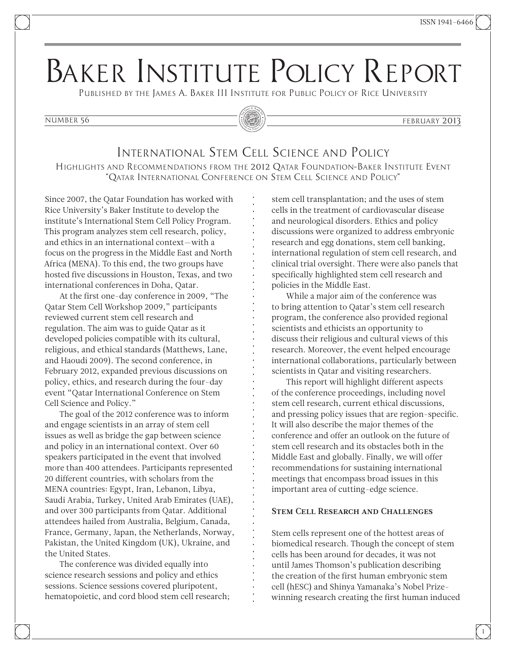# Baker Institute Policy Report

Published by the James A. Baker III Institute for Public Policy of Rice University



#### number 56 february 2013

## International Stem Cell Science and Policy

Highlights and Recommendations from the 2012 Qatar Foundation–Baker Institute Event "Qatar International Conference on Stem Cell Science and Policy"

Since 2007, the Qatar Foundation has worked with Rice University's Baker Institute to develop the institute's International Stem Cell Policy Program. This program analyzes stem cell research, policy, and ethics in an international context—with a focus on the progress in the Middle East and North Africa (MENA). To this end, the two groups have hosted five discussions in Houston, Texas, and two international conferences in Doha, Qatar.

At the first one-day conference in 2009, "The Qatar Stem Cell Workshop 2009," participants reviewed current stem cell research and regulation. The aim was to guide Qatar as it developed policies compatible with its cultural, religious, and ethical standards (Matthews, Lane, and Haoudi 2009). The second conference, in February 2012, expanded previous discussions on policy, ethics, and research during the four-day event "Qatar International Conference on Stem Cell Science and Policy."

The goal of the 2012 conference was to inform and engage scientists in an array of stem cell issues as well as bridge the gap between science and policy in an international context. Over 60 speakers participated in the event that involved more than 400 attendees. Participants represented 20 different countries, with scholars from the MENA countries: Egypt, Iran, Lebanon, Libya, Saudi Arabia, Turkey, United Arab Emirates (UAE), and over 300 participants from Qatar. Additional attendees hailed from Australia, Belgium, Canada, France, Germany, Japan, the Netherlands, Norway, Pakistan, the United Kingdom (UK), Ukraine, and the United States.

The conference was divided equally into science research sessions and policy and ethics sessions. Science sessions covered pluripotent, hematopoietic, and cord blood stem cell research; stem cell transplantation; and the uses of stem cells in the treatment of cardiovascular disease and neurological disorders. Ethics and policy discussions were organized to address embryonic research and egg donations, stem cell banking, international regulation of stem cell research, and clinical trial oversight. There were also panels that specifically highlighted stem cell research and policies in the Middle East.

While a major aim of the conference was to bring attention to Qatar's stem cell research program, the conference also provided regional scientists and ethicists an opportunity to discuss their religious and cultural views of this research. Moreover, the event helped encourage international collaborations, particularly between scientists in Qatar and visiting researchers.

This report will highlight different aspects of the conference proceedings, including novel stem cell research, current ethical discussions, and pressing policy issues that are region-specific. It will also describe the major themes of the conference and offer an outlook on the future of stem cell research and its obstacles both in the Middle East and globally. Finally, we will offer recommendations for sustaining international meetings that encompass broad issues in this important area of cutting-edge science.

#### Stem Cell Research and Challenges

Stem cells represent one of the hottest areas of biomedical research. Though the concept of stem cells has been around for decades, it was not until James Thomson's publication describing the creation of the first human embryonic stem cell (hESC) and Shinya Yamanaka's Nobel Prizewinning research creating the first human induced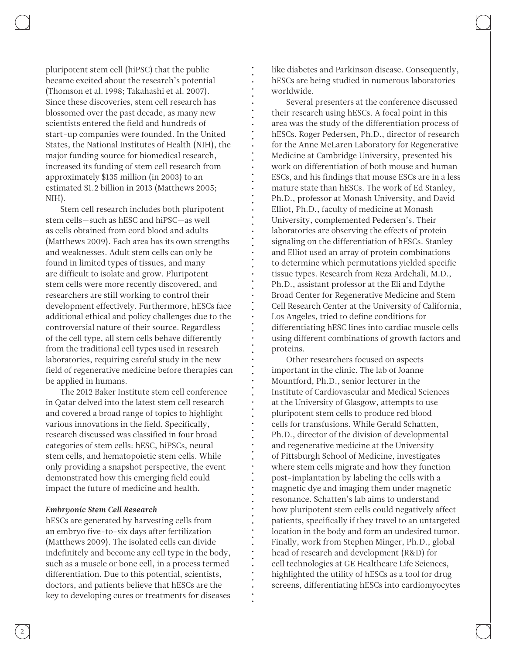pluripotent stem cell (hiPSC) that the public became excited about the research's potential (Thomson et al. 1998; Takahashi et al. 2007). Since these discoveries, stem cell research has blossomed over the past decade, as many new scientists entered the field and hundreds of start-up companies were founded. In the United States, the National Institutes of Health (NIH), the major funding source for biomedical research, increased its funding of stem cell research from approximately \$135 million (in 2003) to an estimated \$1.2 billion in 2013 (Matthews 2005; NIH).

Stem cell research includes both pluripotent stem cells—such as hESC and hiPSC—as well as cells obtained from cord blood and adults (Matthews 2009). Each area has its own strengths and weaknesses. Adult stem cells can only be found in limited types of tissues, and many are difficult to isolate and grow. Pluripotent stem cells were more recently discovered, and researchers are still working to control their development effectively. Furthermore, hESCs face additional ethical and policy challenges due to the controversial nature of their source. Regardless of the cell type, all stem cells behave differently from the traditional cell types used in research laboratories, requiring careful study in the new field of regenerative medicine before therapies can be applied in humans.

The 2012 Baker Institute stem cell conference in Qatar delved into the latest stem cell research and covered a broad range of topics to highlight various innovations in the field. Specifically, research discussed was classified in four broad categories of stem cells: hESC, hiPSCs, neural stem cells, and hematopoietic stem cells. While only providing a snapshot perspective, the event demonstrated how this emerging field could impact the future of medicine and health.

#### *Embryonic Stem Cell Research*

hESCs are generated by harvesting cells from an embryo five-to-six days after fertilization (Matthews 2009). The isolated cells can divide indefinitely and become any cell type in the body, such as a muscle or bone cell, in a process termed differentiation. Due to this potential, scientists, doctors, and patients believe that hESCs are the key to developing cures or treatments for diseases like diabetes and Parkinson disease. Consequently, hESCs are being studied in numerous laboratories worldwide.

Several presenters at the conference discussed their research using hESCs. A focal point in this area was the study of the differentiation process of hESCs. Roger Pedersen, Ph.D., director of research for the Anne McLaren Laboratory for Regenerative Medicine at Cambridge University, presented his work on differentiation of both mouse and human ESCs, and his findings that mouse ESCs are in a less mature state than hESCs. The work of Ed Stanley, Ph.D., professor at Monash University, and David Elliot, Ph.D., faculty of medicine at Monash University, complemented Pedersen's. Their laboratories are observing the effects of protein signaling on the differentiation of hESCs. Stanley and Elliot used an array of protein combinations to determine which permutations yielded specific tissue types. Research from Reza Ardehali, M.D., Ph.D., assistant professor at the Eli and Edythe Broad Center for Regenerative Medicine and Stem Cell Research Center at the University of California, Los Angeles, tried to define conditions for differentiating hESC lines into cardiac muscle cells using different combinations of growth factors and proteins.

Other researchers focused on aspects important in the clinic. The lab of Joanne Mountford, Ph.D., senior lecturer in the Institute of Cardiovascular and Medical Sciences at the University of Glasgow, attempts to use pluripotent stem cells to produce red blood cells for transfusions. While Gerald Schatten, Ph.D., director of the division of developmental and regenerative medicine at the University of Pittsburgh School of Medicine, investigates where stem cells migrate and how they function post-implantation by labeling the cells with a magnetic dye and imaging them under magnetic resonance. Schatten's lab aims to understand how pluripotent stem cells could negatively affect patients, specifically if they travel to an untargeted location in the body and form an undesired tumor. Finally, work from Stephen Minger, Ph.D., global head of research and development (R&D) for cell technologies at GE Healthcare Life Sciences, highlighted the utility of hESCs as a tool for drug screens, differentiating hESCs into cardiomyocytes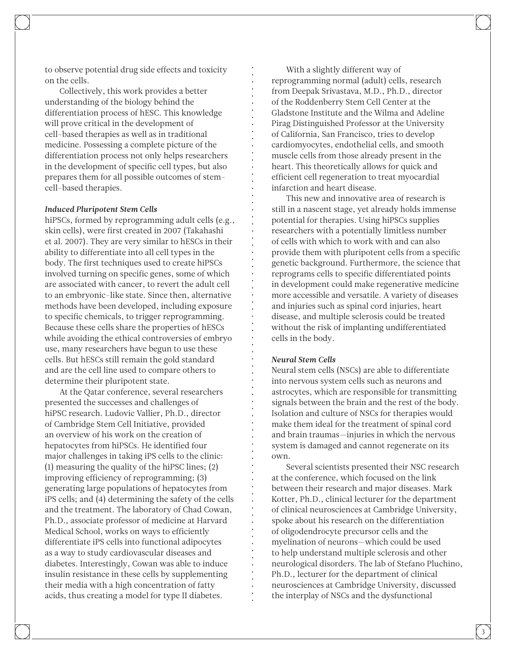to observe potential drug side effects and toxicity on the cells.

Collectively, this work provides a better understanding of the biology behind the differentiation process of hESC. This knowledge will prove critical in the development of cell-based therapies as well as in traditional medicine. Possessing a complete picture of the differentiation process not only helps researchers in the development of specific cell types, but also prepares them for all possible outcomes of stemcell-based therapies.

#### *Induced Pluripotent Stem Cells*

hiPSCs, formed by reprogramming adult cells (e.g., skin cells), were first created in 2007 (Takahashi et al. 2007). They are very similar to hESCs in their ability to differentiate into all cell types in the body. The first techniques used to create hiPSCs involved turning on specific genes, some of which are associated with cancer, to revert the adult cell to an embryonic-like state. Since then, alternative methods have been developed, including exposure to specific chemicals, to trigger reprogramming. Because these cells share the properties of hESCs while avoiding the ethical controversies of embryo use, many researchers have begun to use these cells. But hESCs still remain the gold standard and are the cell line used to compare others to determine their pluripotent state.

At the Qatar conference, several researchers presented the successes and challenges of hiPSC research. Ludovic Vallier, Ph.D., director of Cambridge Stem Cell Initiative, provided an overview of his work on the creation of hepatocytes from hiPSCs. He identified four major challenges in taking iPS cells to the clinic: (1) measuring the quality of the hiPSC lines; (2) improving efficiency of reprogramming; (3) generating large populations of hepatocytes from iPS cells; and (4) determining the safety of the cells and the treatment. The laboratory of Chad Cowan, Ph.D., associate professor of medicine at Harvard Medical School, works on ways to efficiently differentiate iPS cells into functional adipocytes as a way to study cardiovascular diseases and diabetes. Interestingly, Cowan was able to induce insulin resistance in these cells by supplementing their media with a high concentration of fatty acids, thus creating a model for type II diabetes.

With a slightly different way of reprogramming normal (adult) cells, research from Deepak Srivastava, M.D., Ph.D., director of the Roddenberry Stem Cell Center at the Gladstone Institute and the Wilma and Adeline Pirag Distinguished Professor at the University of California, San Francisco, tries to develop cardiomyocytes, endothelial cells, and smooth muscle cells from those already present in the heart. This theoretically allows for quick and efficient cell regeneration to treat myocardial infarction and heart disease. This new and innovative area of research is

still in a nascent stage, yet already holds immense potential for therapies. Using hiPSCs supplies researchers with a potentially limitless number of cells with which to work with and can also provide them with pluripotent cells from a specific genetic background. Furthermore, the science that reprograms cells to specific differentiated points in development could make regenerative medicine more accessible and versatile. A variety of diseases and injuries such as spinal cord injuries, heart disease, and multiple sclerosis could be treated without the risk of implanting undifferentiated cells in the body.

#### *Neural Stem Cells*

Neural stem cells (NSCs) are able to differentiate into nervous system cells such as neurons and astrocytes, which are responsible for transmitting signals between the brain and the rest of the body. Isolation and culture of NSCs for therapies would make them ideal for the treatment of spinal cord and brain traumas—injuries in which the nervous system is damaged and cannot regenerate on its own.

Several scientists presented their NSC research at the conference, which focused on the link between their research and major diseases. Mark Kotter, Ph.D., clinical lecturer for the department of clinical neurosciences at Cambridge University, spoke about his research on the differentiation of oligodendrocyte precursor cells and the myelination of neurons—which could be used to help understand multiple sclerosis and other neurological disorders. The lab of Stefano Pluchino, Ph.D., lecturer for the department of clinical neurosciences at Cambridge University, discussed the interplay of NSCs and the dysfunctional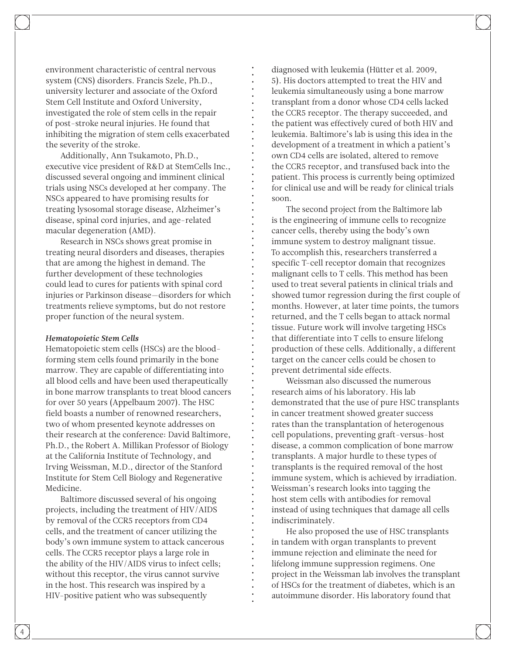environment characteristic of central nervous system (CNS) disorders. Francis Szele, Ph.D., university lecturer and associate of the Oxford Stem Cell Institute and Oxford University, investigated the role of stem cells in the repair of post-stroke neural injuries. He found that inhibiting the migration of stem cells exacerbated the severity of the stroke.

Additionally, Ann Tsukamoto, Ph.D., executive vice president of R&D at StemCells Inc., discussed several ongoing and imminent clinical trials using NSCs developed at her company. The NSCs appeared to have promising results for treating lysosomal storage disease, Alzheimer's disease, spinal cord injuries, and age-related macular degeneration (AMD).

Research in NSCs shows great promise in treating neural disorders and diseases, therapies that are among the highest in demand. The further development of these technologies could lead to cures for patients with spinal cord injuries or Parkinson disease—disorders for which treatments relieve symptoms, but do not restore proper function of the neural system.

#### *Hematopoietic Stem Cells*

Hematopoietic stem cells (HSCs) are the bloodforming stem cells found primarily in the bone marrow. They are capable of differentiating into all blood cells and have been used therapeutically in bone marrow transplants to treat blood cancers for over 50 years (Appelbaum 2007). The HSC field boasts a number of renowned researchers, two of whom presented keynote addresses on their research at the conference: David Baltimore, Ph.D., the Robert A. Millikan Professor of Biology at the California Institute of Technology, and Irving Weissman, M.D., director of the Stanford Institute for Stem Cell Biology and Regenerative Medicine.

Baltimore discussed several of his ongoing projects, including the treatment of HIV/AIDS by removal of the CCR5 receptors from CD4 cells, and the treatment of cancer utilizing the body's own immune system to attack cancerous cells. The CCR5 receptor plays a large role in the ability of the HIV/AIDS virus to infect cells; without this receptor, the virus cannot survive in the host. This research was inspired by a HIV-positive patient who was subsequently

diagnosed with leukemia (Hütter et al. 2009, 5). His doctors attempted to treat the HIV and leukemia simultaneously using a bone marrow transplant from a donor whose CD4 cells lacked the CCR5 receptor. The therapy succeeded, and the patient was effectively cured of both HIV and leukemia. Baltimore's lab is using this idea in the development of a treatment in which a patient's own CD4 cells are isolated, altered to remove the CCR5 receptor, and transfused back into the patient. This process is currently being optimized for clinical use and will be ready for clinical trials soon.

The second project from the Baltimore lab is the engineering of immune cells to recognize cancer cells, thereby using the body's own immune system to destroy malignant tissue. To accomplish this, researchers transferred a specific T-cell receptor domain that recognizes malignant cells to T cells. This method has been used to treat several patients in clinical trials and showed tumor regression during the first couple of months. However, at later time points, the tumors returned, and the T cells began to attack normal tissue. Future work will involve targeting HSCs that differentiate into T cells to ensure lifelong production of these cells. Additionally, a different target on the cancer cells could be chosen to prevent detrimental side effects.

Weissman also discussed the numerous research aims of his laboratory. His lab demonstrated that the use of pure HSC transplants in cancer treatment showed greater success rates than the transplantation of heterogenous cell populations, preventing graft-versus-host disease, a common complication of bone marrow transplants. A major hurdle to these types of transplants is the required removal of the host immune system, which is achieved by irradiation. Weissman's research looks into tagging the host stem cells with antibodies for removal instead of using techniques that damage all cells indiscriminately.

He also proposed the use of HSC transplants in tandem with organ transplants to prevent immune rejection and eliminate the need for lifelong immune suppression regimens. One project in the Weissman lab involves the transplant of HSCs for the treatment of diabetes, which is an autoimmune disorder. His laboratory found that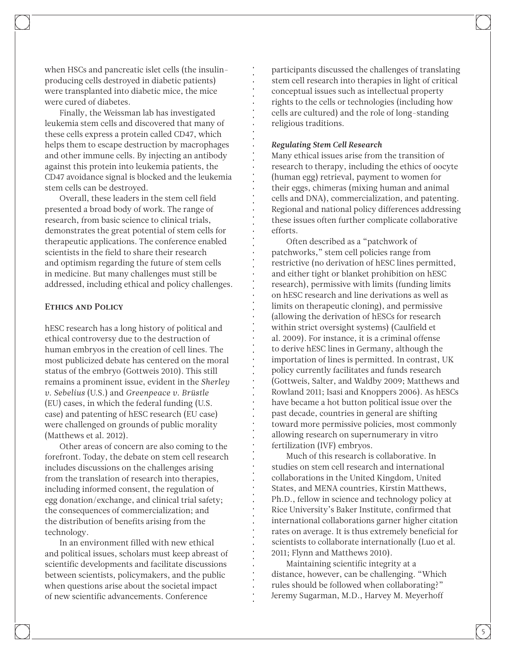when HSCs and pancreatic islet cells (the insulinproducing cells destroyed in diabetic patients) were transplanted into diabetic mice, the mice were cured of diabetes.

Finally, the Weissman lab has investigated leukemia stem cells and discovered that many of these cells express a protein called CD47, which helps them to escape destruction by macrophages and other immune cells. By injecting an antibody against this protein into leukemia patients, the CD47 avoidance signal is blocked and the leukemia stem cells can be destroyed.

Overall, these leaders in the stem cell field presented a broad body of work. The range of research, from basic science to clinical trials, demonstrates the great potential of stem cells for therapeutic applications. The conference enabled scientists in the field to share their research and optimism regarding the future of stem cells in medicine. But many challenges must still be addressed, including ethical and policy challenges.

#### Ethics and Policy

hESC research has a long history of political and ethical controversy due to the destruction of human embryos in the creation of cell lines. The most publicized debate has centered on the moral status of the embryo (Gottweis 2010). This still remains a prominent issue, evident in the *Sherley v. Sebelius* (U.S.) and *Greenpeace v. Brüstle* (EU) cases, in which the federal funding (U.S. case) and patenting of hESC research (EU case) were challenged on grounds of public morality (Matthews et al. 2012).

Other areas of concern are also coming to the forefront. Today, the debate on stem cell research includes discussions on the challenges arising from the translation of research into therapies, including informed consent, the regulation of egg donation/exchange, and clinical trial safety; the consequences of commercialization; and the distribution of benefits arising from the technology.

In an environment filled with new ethical and political issues, scholars must keep abreast of scientific developments and facilitate discussions between scientists, policymakers, and the public when questions arise about the societal impact of new scientific advancements. Conference

participants discussed the challenges of translating stem cell research into therapies in light of critical conceptual issues such as intellectual property rights to the cells or technologies (including how cells are cultured) and the role of long-standing religious traditions.

#### *Regulating Stem Cell Research*

Many ethical issues arise from the transition of research to therapy, including the ethics of oocyte (human egg) retrieval, payment to women for their eggs, chimeras (mixing human and animal cells and DNA), commercialization, and patenting. Regional and national policy differences addressing these issues often further complicate collaborative efforts.

Often described as a "patchwork of patchworks," stem cell policies range from restrictive (no derivation of hESC lines permitted, and either tight or blanket prohibition on hESC research), permissive with limits (funding limits on hESC research and line derivations as well as limits on therapeutic cloning), and permissive (allowing the derivation of hESCs for research within strict oversight systems) (Caulfield et al. 2009). For instance, it is a criminal offense to derive hESC lines in Germany, although the importation of lines is permitted. In contrast, UK policy currently facilitates and funds research (Gottweis, Salter, and Waldby 2009; Matthews and Rowland 2011; Isasi and Knoppers 2006). As hESCs have became a hot button political issue over the past decade, countries in general are shifting toward more permissive policies, most commonly allowing research on supernumerary in vitro fertilization (IVF) embryos.

Much of this research is collaborative. In studies on stem cell research and international collaborations in the United Kingdom, United States, and MENA countries, Kirstin Matthews, Ph.D., fellow in science and technology policy at Rice University's Baker Institute, confirmed that international collaborations garner higher citation rates on average. It is thus extremely beneficial for scientists to collaborate internationally (Luo et al. 2011; Flynn and Matthews 2010).

Maintaining scientific integrity at a distance, however, can be challenging. "Which rules should be followed when collaborating?" Jeremy Sugarman, M.D., Harvey M. Meyerhoff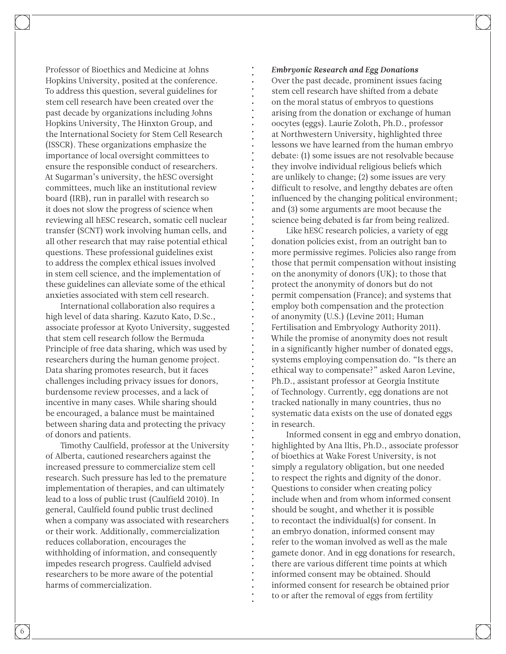Professor of Bioethics and Medicine at Johns Hopkins University, posited at the conference. To address this question, several guidelines for stem cell research have been created over the past decade by organizations including Johns Hopkins University, The Hinxton Group, and the International Society for Stem Cell Research (ISSCR). These organizations emphasize the importance of local oversight committees to ensure the responsible conduct of researchers. At Sugarman's university, the hESC oversight committees, much like an institutional review board (IRB), run in parallel with research so it does not slow the progress of science when reviewing all hESC research, somatic cell nuclear transfer (SCNT) work involving human cells, and all other research that may raise potential ethical questions. These professional guidelines exist to address the complex ethical issues involved in stem cell science, and the implementation of these guidelines can alleviate some of the ethical anxieties associated with stem cell research.

International collaboration also requires a high level of data sharing. Kazuto Kato, D.Sc., associate professor at Kyoto University, suggested that stem cell research follow the Bermuda Principle of free data sharing, which was used by researchers during the human genome project. Data sharing promotes research, but it faces challenges including privacy issues for donors, burdensome review processes, and a lack of incentive in many cases. While sharing should be encouraged, a balance must be maintained between sharing data and protecting the privacy of donors and patients.

Timothy Caulfield, professor at the University of Alberta, cautioned researchers against the increased pressure to commercialize stem cell research. Such pressure has led to the premature implementation of therapies, and can ultimately lead to a loss of public trust (Caulfield 2010). In general, Caulfield found public trust declined when a company was associated with researchers or their work. Additionally, commercialization reduces collaboration, encourages the withholding of information, and consequently impedes research progress. Caulfield advised researchers to be more aware of the potential harms of commercialization.

#### *Embryonic Research and Egg Donations*

Over the past decade, prominent issues facing stem cell research have shifted from a debate on the moral status of embryos to questions arising from the donation or exchange of human oocytes (eggs). Laurie Zoloth, Ph.D., professor at Northwestern University, highlighted three lessons we have learned from the human embryo debate: (1) some issues are not resolvable because they involve individual religious beliefs which are unlikely to change; (2) some issues are very difficult to resolve, and lengthy debates are often influenced by the changing political environment; and (3) some arguments are moot because the science being debated is far from being realized.

Like hESC research policies, a variety of egg donation policies exist, from an outright ban to more permissive regimes. Policies also range from those that permit compensation without insisting on the anonymity of donors (UK); to those that protect the anonymity of donors but do not permit compensation (France); and systems that employ both compensation and the protection of anonymity (U.S.) (Levine 2011; Human Fertilisation and Embryology Authority 2011). While the promise of anonymity does not result in a significantly higher number of donated eggs, systems employing compensation do. "Is there an ethical way to compensate?" asked Aaron Levine, Ph.D., assistant professor at Georgia Institute of Technology. Currently, egg donations are not tracked nationally in many countries, thus no systematic data exists on the use of donated eggs in research.

Informed consent in egg and embryo donation, highlighted by Ana Iltis, Ph.D., associate professor of bioethics at Wake Forest University, is not simply a regulatory obligation, but one needed to respect the rights and dignity of the donor. Questions to consider when creating policy include when and from whom informed consent should be sought, and whether it is possible to recontact the individual(s) for consent. In an embryo donation, informed consent may refer to the woman involved as well as the male gamete donor. And in egg donations for research, there are various different time points at which informed consent may be obtained. Should informed consent for research be obtained prior to or after the removal of eggs from fertility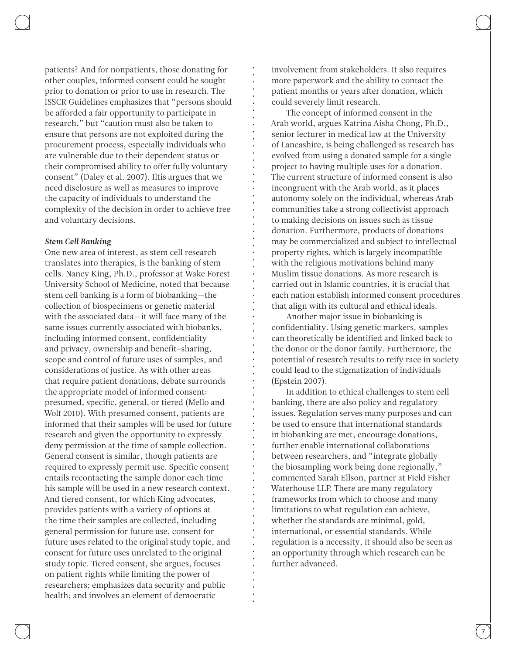patients? And for nonpatients, those donating for other couples, informed consent could be sought prior to donation or prior to use in research. The ISSCR Guidelines emphasizes that "persons should be afforded a fair opportunity to participate in research," but "caution must also be taken to ensure that persons are not exploited during the procurement process, especially individuals who are vulnerable due to their dependent status or their compromised ability to offer fully voluntary consent" (Daley et al. 2007). Iltis argues that we need disclosure as well as measures to improve the capacity of individuals to understand the complexity of the decision in order to achieve free and voluntary decisions.

#### *Stem Cell Banking*

One new area of interest, as stem cell research translates into therapies, is the banking of stem cells. Nancy King, Ph.D., professor at Wake Forest University School of Medicine, noted that because stem cell banking is a form of biobanking—the collection of biospecimens or genetic material with the associated data—it will face many of the same issues currently associated with biobanks, including informed consent, confidentiality and privacy, ownership and benefit-sharing, scope and control of future uses of samples, and considerations of justice. As with other areas that require patient donations, debate surrounds the appropriate model of informed consent: presumed, specific, general, or tiered (Mello and Wolf 2010). With presumed consent, patients are informed that their samples will be used for future research and given the opportunity to expressly deny permission at the time of sample collection. General consent is similar, though patients are required to expressly permit use. Specific consent entails recontacting the sample donor each time his sample will be used in a new research context. And tiered consent, for which King advocates, provides patients with a variety of options at the time their samples are collected, including general permission for future use, consent for future uses related to the original study topic, and consent for future uses unrelated to the original study topic. Tiered consent, she argues, focuses on patient rights while limiting the power of researchers; emphasizes data security and public health; and involves an element of democratic

involvement from stakeholders. It also requires more paperwork and the ability to contact the patient months or years after donation, which could severely limit research.

The concept of informed consent in the Arab world, argues Katrina Aisha Chong, Ph.D., senior lecturer in medical law at the University of Lancashire, is being challenged as research has evolved from using a donated sample for a single project to having multiple uses for a donation. The current structure of informed consent is also incongruent with the Arab world, as it places autonomy solely on the individual, whereas Arab communities take a strong collectivist approach to making decisions on issues such as tissue donation. Furthermore, products of donations may be commercialized and subject to intellectual property rights, which is largely incompatible with the religious motivations behind many Muslim tissue donations. As more research is carried out in Islamic countries, it is crucial that each nation establish informed consent procedures that align with its cultural and ethical ideals.

Another major issue in biobanking is confidentiality. Using genetic markers, samples can theoretically be identified and linked back to the donor or the donor family. Furthermore, the potential of research results to reify race in society could lead to the stigmatization of individuals (Epstein 2007).

In addition to ethical challenges to stem cell banking, there are also policy and regulatory issues. Regulation serves many purposes and can be used to ensure that international standards in biobanking are met, encourage donations, further enable international collaborations between researchers, and "integrate globally the biosampling work being done regionally," commented Sarah Ellson, partner at Field Fisher Waterhouse LLP. There are many regulatory frameworks from which to choose and many limitations to what regulation can achieve, whether the standards are minimal, gold, international, or essential standards. While regulation is a necessity, it should also be seen as an opportunity through which research can be further advanced.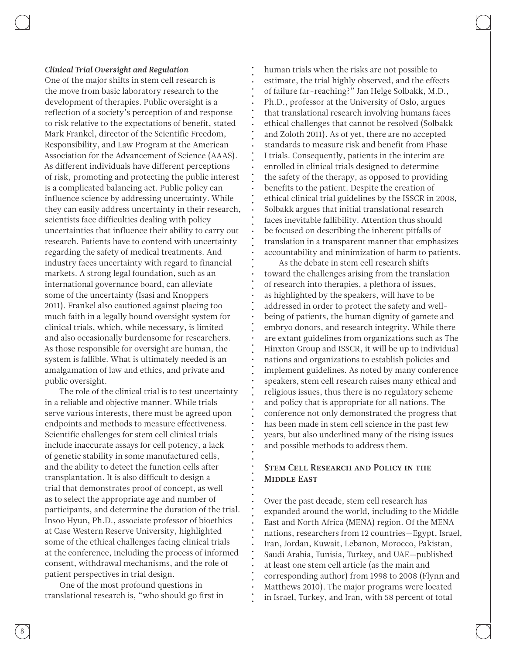#### *Clinical Trial Oversight and Regulation*

One of the major shifts in stem cell research is the move from basic laboratory research to the development of therapies. Public oversight is a reflection of a society's perception of and response to risk relative to the expectations of benefit, stated Mark Frankel, director of the Scientific Freedom, Responsibility, and Law Program at the American Association for the Advancement of Science (AAAS). As different individuals have different perceptions of risk, promoting and protecting the public interest is a complicated balancing act. Public policy can influence science by addressing uncertainty. While they can easily address uncertainty in their research, scientists face difficulties dealing with policy uncertainties that influence their ability to carry out research. Patients have to contend with uncertainty regarding the safety of medical treatments. And industry faces uncertainty with regard to financial markets. A strong legal foundation, such as an international governance board, can alleviate some of the uncertainty (Isasi and Knoppers 2011). Frankel also cautioned against placing too much faith in a legally bound oversight system for clinical trials, which, while necessary, is limited and also occasionally burdensome for researchers. As those responsible for oversight are human, the system is fallible. What is ultimately needed is an amalgamation of law and ethics, and private and public oversight.

The role of the clinical trial is to test uncertainty in a reliable and objective manner. While trials serve various interests, there must be agreed upon endpoints and methods to measure effectiveness. Scientific challenges for stem cell clinical trials include inaccurate assays for cell potency, a lack of genetic stability in some manufactured cells, and the ability to detect the function cells after transplantation. It is also difficult to design a trial that demonstrates proof of concept, as well as to select the appropriate age and number of participants, and determine the duration of the trial. Insoo Hyun, Ph.D., associate professor of bioethics at Case Western Reserve University, highlighted some of the ethical challenges facing clinical trials at the conference, including the process of informed consent, withdrawal mechanisms, and the role of patient perspectives in trial design.

One of the most profound questions in translational research is, "who should go first in human trials when the risks are not possible to estimate, the trial highly observed, and the effects of failure far-reaching?" Jan Helge Solbakk, M.D., Ph.D., professor at the University of Oslo, argues that translational research involving humans faces ethical challenges that cannot be resolved (Solbakk and Zoloth 2011). As of yet, there are no accepted standards to measure risk and benefit from Phase I trials. Consequently, patients in the interim are enrolled in clinical trials designed to determine the safety of the therapy, as opposed to providing benefits to the patient. Despite the creation of ethical clinical trial guidelines by the ISSCR in 2008, Solbakk argues that initial translational research faces inevitable fallibility. Attention thus should be focused on describing the inherent pitfalls of translation in a transparent manner that emphasizes accountability and minimization of harm to patients.

As the debate in stem cell research shifts toward the challenges arising from the translation of research into therapies, a plethora of issues, as highlighted by the speakers, will have to be addressed in order to protect the safety and wellbeing of patients, the human dignity of gamete and embryo donors, and research integrity. While there are extant guidelines from organizations such as The Hinxton Group and ISSCR, it will be up to individual nations and organizations to establish policies and implement guidelines. As noted by many conference speakers, stem cell research raises many ethical and religious issues, thus there is no regulatory scheme and policy that is appropriate for all nations. The conference not only demonstrated the progress that has been made in stem cell science in the past few years, but also underlined many of the rising issues and possible methods to address them.

### Stem Cell Research and Policy in the MIDDLE EAST

Over the past decade, stem cell research has expanded around the world, including to the Middle East and North Africa (MENA) region. Of the MENA nations, researchers from 12 countries—Egypt, Israel, Iran, Jordan, Kuwait, Lebanon, Morocco, Pakistan, Saudi Arabia, Tunisia, Turkey, and UAE—published at least one stem cell article (as the main and corresponding author) from 1998 to 2008 (Flynn and Matthews 2010). The major programs were located in Israel, Turkey, and Iran, with 58 percent of total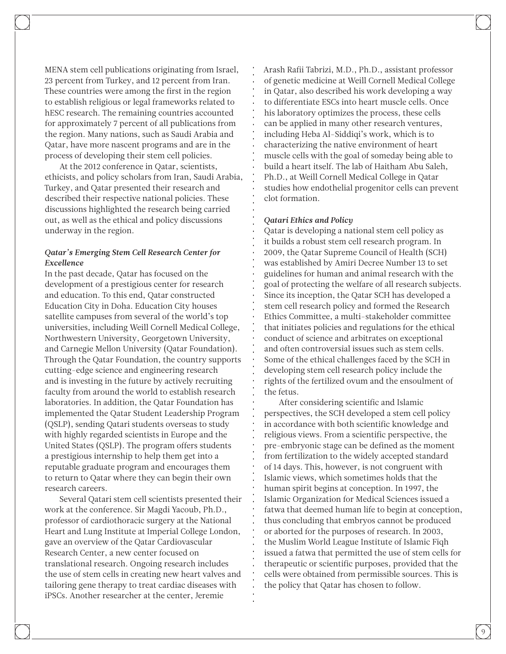MENA stem cell publications originating from Israel, 23 percent from Turkey, and 12 percent from Iran. These countries were among the first in the region to establish religious or legal frameworks related to hESC research. The remaining countries accounted for approximately 7 percent of all publications from the region. Many nations, such as Saudi Arabia and Qatar, have more nascent programs and are in the process of developing their stem cell policies.

At the 2012 conference in Qatar, scientists, ethicists, and policy scholars from Iran, Saudi Arabia, Turkey, and Qatar presented their research and described their respective national policies. These discussions highlighted the research being carried out, as well as the ethical and policy discussions underway in the region.

#### *Qatar's Emerging Stem Cell Research Center for Excellence*

In the past decade, Qatar has focused on the development of a prestigious center for research and education. To this end, Qatar constructed Education City in Doha. Education City houses satellite campuses from several of the world's top universities, including Weill Cornell Medical College, Northwestern University, Georgetown University, and Carnegie Mellon University (Qatar Foundation). Through the Qatar Foundation, the country supports cutting-edge science and engineering research and is investing in the future by actively recruiting faculty from around the world to establish research laboratories. In addition, the Qatar Foundation has implemented the Qatar Student Leadership Program (QSLP), sending Qatari students overseas to study with highly regarded scientists in Europe and the United States (QSLP). The program offers students a prestigious internship to help them get into a reputable graduate program and encourages them to return to Qatar where they can begin their own research careers.

Several Qatari stem cell scientists presented their work at the conference. Sir Magdi Yacoub, Ph.D., professor of cardiothoracic surgery at the National Heart and Lung Institute at Imperial College London, gave an overview of the Qatar Cardiovascular Research Center, a new center focused on translational research. Ongoing research includes the use of stem cells in creating new heart valves and tailoring gene therapy to treat cardiac diseases with iPSCs. Another researcher at the center, Jeremie

Arash Rafii Tabrizi, M.D., Ph.D., assistant professor of genetic medicine at Weill Cornell Medical College in Qatar, also described his work developing a way to differentiate ESCs into heart muscle cells. Once his laboratory optimizes the process, these cells can be applied in many other research ventures, including Heba Al-Siddiqi's work, which is to characterizing the native environment of heart muscle cells with the goal of someday being able to build a heart itself. The lab of Haitham Abu Saleh, Ph.D., at Weill Cornell Medical College in Qatar studies how endothelial progenitor cells can prevent clot formation.

#### *Qatari Ethics and Policy*

Qatar is developing a national stem cell policy as it builds a robust stem cell research program. In 2009, the Qatar Supreme Council of Health (SCH) was established by Amiri Decree Number 13 to set guidelines for human and animal research with the goal of protecting the welfare of all research subjects. Since its inception, the Qatar SCH has developed a stem cell research policy and formed the Research Ethics Committee, a multi-stakeholder committee that initiates policies and regulations for the ethical conduct of science and arbitrates on exceptional and often controversial issues such as stem cells. Some of the ethical challenges faced by the SCH in developing stem cell research policy include the rights of the fertilized ovum and the ensoulment of the fetus.

After considering scientific and Islamic perspectives, the SCH developed a stem cell policy in accordance with both scientific knowledge and religious views. From a scientific perspective, the pre-embryonic stage can be defined as the moment from fertilization to the widely accepted standard of 14 days. This, however, is not congruent with Islamic views, which sometimes holds that the human spirit begins at conception. In 1997, the Islamic Organization for Medical Sciences issued a fatwa that deemed human life to begin at conception, thus concluding that embryos cannot be produced or aborted for the purposes of research. In 2003, the Muslim World League Institute of Islamic Fiqh issued a fatwa that permitted the use of stem cells for therapeutic or scientific purposes, provided that the cells were obtained from permissible sources. This is the policy that Qatar has chosen to follow.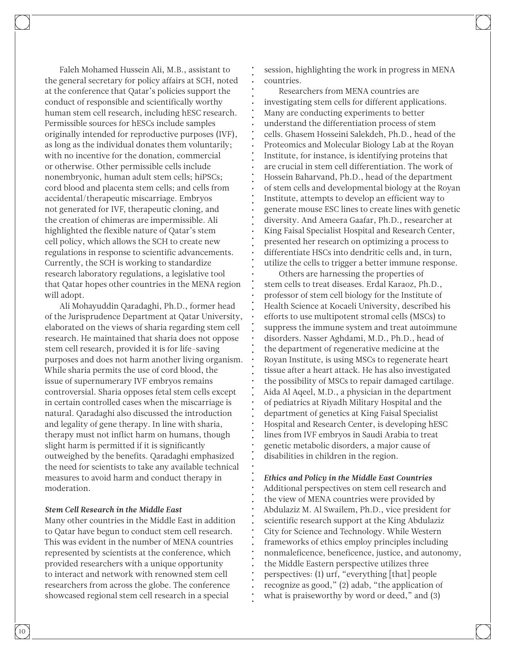Faleh Mohamed Hussein Ali, M.B., assistant to the general secretary for policy affairs at SCH, noted at the conference that Qatar's policies support the conduct of responsible and scientifically worthy human stem cell research, including hESC research. Permissible sources for hESCs include samples originally intended for reproductive purposes (IVF), as long as the individual donates them voluntarily; with no incentive for the donation, commercial or otherwise. Other permissible cells include nonembryonic, human adult stem cells; hiPSCs; cord blood and placenta stem cells; and cells from accidental/therapeutic miscarriage. Embryos not generated for IVF, therapeutic cloning, and the creation of chimeras are impermissible. Ali highlighted the flexible nature of Qatar's stem cell policy, which allows the SCH to create new regulations in response to scientific advancements. Currently, the SCH is working to standardize research laboratory regulations, a legislative tool that Qatar hopes other countries in the MENA region will adopt.

Ali Mohayuddin Qaradaghi, Ph.D., former head of the Jurisprudence Department at Qatar University, elaborated on the views of sharia regarding stem cell research. He maintained that sharia does not oppose stem cell research, provided it is for life-saving purposes and does not harm another living organism. While sharia permits the use of cord blood, the issue of supernumerary IVF embryos remains controversial. Sharia opposes fetal stem cells except in certain controlled cases when the miscarriage is natural. Qaradaghi also discussed the introduction and legality of gene therapy. In line with sharia, therapy must not inflict harm on humans, though slight harm is permitted if it is significantly outweighed by the benefits. Qaradaghi emphasized the need for scientists to take any available technical measures to avoid harm and conduct therapy in moderation.

#### *Stem Cell Research in the Middle East*

Many other countries in the Middle East in addition to Qatar have begun to conduct stem cell research. This was evident in the number of MENA countries represented by scientists at the conference, which provided researchers with a unique opportunity to interact and network with renowned stem cell researchers from across the globe. The conference showcased regional stem cell research in a special

session, highlighting the work in progress in MENA countries.

Researchers from MENA countries are investigating stem cells for different applications. Many are conducting experiments to better understand the differentiation process of stem cells. Ghasem Hosseini Salekdeh, Ph.D., head of the Proteomics and Molecular Biology Lab at the Royan Institute, for instance, is identifying proteins that are crucial in stem cell differentiation. The work of Hossein Baharvand, Ph.D., head of the department of stem cells and developmental biology at the Royan Institute, attempts to develop an efficient way to generate mouse ESC lines to create lines with genetic diversity. And Ameera Gaafar, Ph.D., researcher at King Faisal Specialist Hospital and Research Center, presented her research on optimizing a process to differentiate HSCs into dendritic cells and, in turn, utilize the cells to trigger a better immune response.

Others are harnessing the properties of stem cells to treat diseases. Erdal Karaoz, Ph.D., professor of stem cell biology for the Institute of Health Science at Kocaeli University, described his efforts to use multipotent stromal cells (MSCs) to suppress the immune system and treat autoimmune disorders. Nasser Aghdami, M.D., Ph.D., head of the department of regenerative medicine at the Royan Institute, is using MSCs to regenerate heart tissue after a heart attack. He has also investigated the possibility of MSCs to repair damaged cartilage. Aida Al Aqeel, M.D., a physician in the department of pediatrics at Riyadh Military Hospital and the department of genetics at King Faisal Specialist Hospital and Research Center, is developing hESC lines from IVF embryos in Saudi Arabia to treat genetic metabolic disorders, a major cause of disabilities in children in the region.

#### *Ethics and Policy in the Middle East Countries*

Additional perspectives on stem cell research and the view of MENA countries were provided by Abdulaziz M. Al Swailem, Ph.D., vice president for scientific research support at the King Abdulaziz City for Science and Technology. While Western frameworks of ethics employ principles including nonmaleficence, beneficence, justice, and autonomy, the Middle Eastern perspective utilizes three perspectives: (1) urf, "everything [that] people recognize as good," (2) adab, "the application of what is praiseworthy by word or deed," and  $(3)$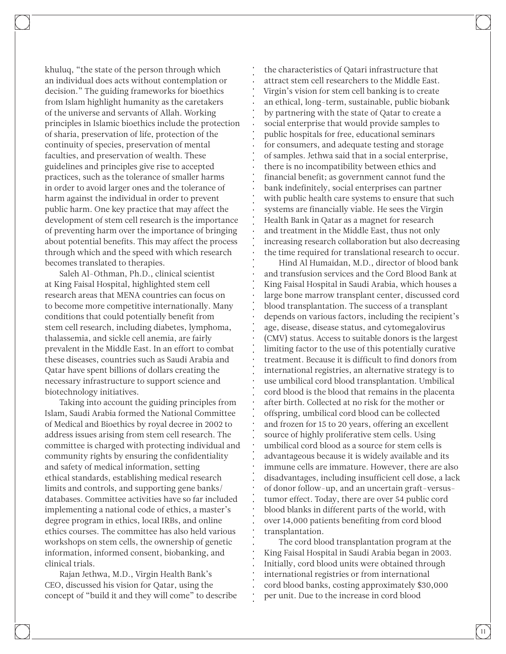khuluq, "the state of the person through which an individual does acts without contemplation or decision." The guiding frameworks for bioethics from Islam highlight humanity as the caretakers of the universe and servants of Allah. Working principles in Islamic bioethics include the protection of sharia, preservation of life, protection of the continuity of species, preservation of mental faculties, and preservation of wealth. These guidelines and principles give rise to accepted practices, such as the tolerance of smaller harms in order to avoid larger ones and the tolerance of harm against the individual in order to prevent public harm. One key practice that may affect the development of stem cell research is the importance of preventing harm over the importance of bringing about potential benefits. This may affect the process through which and the speed with which research becomes translated to therapies.

Saleh Al-Othman, Ph.D., clinical scientist at King Faisal Hospital, highlighted stem cell research areas that MENA countries can focus on to become more competitive internationally. Many conditions that could potentially benefit from stem cell research, including diabetes, lymphoma, thalassemia, and sickle cell anemia, are fairly prevalent in the Middle East. In an effort to combat these diseases, countries such as Saudi Arabia and Qatar have spent billions of dollars creating the necessary infrastructure to support science and biotechnology initiatives.

Taking into account the guiding principles from Islam, Saudi Arabia formed the National Committee of Medical and Bioethics by royal decree in 2002 to address issues arising from stem cell research. The committee is charged with protecting individual and community rights by ensuring the confidentiality and safety of medical information, setting ethical standards, establishing medical research limits and controls, and supporting gene banks/ databases. Committee activities have so far included implementing a national code of ethics, a master's degree program in ethics, local IRBs, and online ethics courses. The committee has also held various workshops on stem cells, the ownership of genetic information, informed consent, biobanking, and clinical trials.

Rajan Jethwa, M.D., Virgin Health Bank's CEO, discussed his vision for Qatar, using the concept of "build it and they will come" to describe

the characteristics of Qatari infrastructure that attract stem cell researchers to the Middle East. Virgin's vision for stem cell banking is to create an ethical, long-term, sustainable, public biobank by partnering with the state of Qatar to create a social enterprise that would provide samples to public hospitals for free, educational seminars for consumers, and adequate testing and storage of samples. Jethwa said that in a social enterprise, there is no incompatibility between ethics and financial benefit; as government cannot fund the bank indefinitely, social enterprises can partner with public health care systems to ensure that such systems are financially viable. He sees the Virgin Health Bank in Qatar as a magnet for research and treatment in the Middle East, thus not only increasing research collaboration but also decreasing the time required for translational research to occur.

Hind Al Humaidan, M.D., director of blood bank and transfusion services and the Cord Blood Bank at King Faisal Hospital in Saudi Arabia, which houses a large bone marrow transplant center, discussed cord blood transplantation. The success of a transplant depends on various factors, including the recipient's age, disease, disease status, and cytomegalovirus (CMV) status. Access to suitable donors is the largest limiting factor to the use of this potentially curative treatment. Because it is difficult to find donors from international registries, an alternative strategy is to use umbilical cord blood transplantation. Umbilical cord blood is the blood that remains in the placenta after birth. Collected at no risk for the mother or offspring, umbilical cord blood can be collected and frozen for 15 to 20 years, offering an excellent source of highly proliferative stem cells. Using umbilical cord blood as a source for stem cells is advantageous because it is widely available and its immune cells are immature. However, there are also disadvantages, including insufficient cell dose, a lack of donor follow-up, and an uncertain graft-versustumor effect. Today, there are over 54 public cord blood blanks in different parts of the world, with over 14,000 patients benefiting from cord blood transplantation.

The cord blood transplantation program at the King Faisal Hospital in Saudi Arabia began in 2003. Initially, cord blood units were obtained through international registries or from international cord blood banks, costing approximately \$30,000 per unit. Due to the increase in cord blood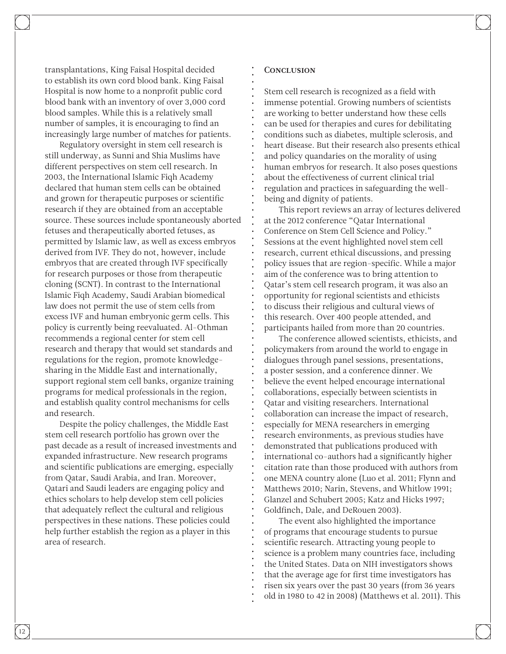transplantations, King Faisal Hospital decided to establish its own cord blood bank. King Faisal Hospital is now home to a nonprofit public cord blood bank with an inventory of over 3,000 cord blood samples. While this is a relatively small number of samples, it is encouraging to find an increasingly large number of matches for patients.

Regulatory oversight in stem cell research is still underway, as Sunni and Shia Muslims have different perspectives on stem cell research. In 2003, the International Islamic Fiqh Academy declared that human stem cells can be obtained and grown for therapeutic purposes or scientific research if they are obtained from an acceptable source. These sources include spontaneously aborted fetuses and therapeutically aborted fetuses, as permitted by Islamic law, as well as excess embryos derived from IVF. They do not, however, include embryos that are created through IVF specifically for research purposes or those from therapeutic cloning (SCNT). In contrast to the International Islamic Fiqh Academy, Saudi Arabian biomedical law does not permit the use of stem cells from excess IVF and human embryonic germ cells. This policy is currently being reevaluated. Al-Othman recommends a regional center for stem cell research and therapy that would set standards and regulations for the region, promote knowledgesharing in the Middle East and internationally, support regional stem cell banks, organize training programs for medical professionals in the region, and establish quality control mechanisms for cells and research.

Despite the policy challenges, the Middle East stem cell research portfolio has grown over the past decade as a result of increased investments and expanded infrastructure. New research programs and scientific publications are emerging, especially from Qatar, Saudi Arabia, and Iran. Moreover, Qatari and Saudi leaders are engaging policy and ethics scholars to help develop stem cell policies that adequately reflect the cultural and religious perspectives in these nations. These policies could help further establish the region as a player in this area of research.

#### **CONCLUSION**

Stem cell research is recognized as a field with immense potential. Growing numbers of scientists are working to better understand how these cells can be used for therapies and cures for debilitating conditions such as diabetes, multiple sclerosis, and heart disease. But their research also presents ethical and policy quandaries on the morality of using human embryos for research. It also poses questions about the effectiveness of current clinical trial regulation and practices in safeguarding the wellbeing and dignity of patients.

This report reviews an array of lectures delivered at the 2012 conference "Qatar International Conference on Stem Cell Science and Policy." Sessions at the event highlighted novel stem cell research, current ethical discussions, and pressing policy issues that are region-specific. While a major aim of the conference was to bring attention to Qatar's stem cell research program, it was also an opportunity for regional scientists and ethicists to discuss their religious and cultural views of this research. Over 400 people attended, and participants hailed from more than 20 countries.

The conference allowed scientists, ethicists, and policymakers from around the world to engage in dialogues through panel sessions, presentations, a poster session, and a conference dinner. We believe the event helped encourage international collaborations, especially between scientists in Qatar and visiting researchers. International collaboration can increase the impact of research, especially for MENA researchers in emerging research environments, as previous studies have demonstrated that publications produced with international co-authors had a significantly higher citation rate than those produced with authors from one MENA country alone (Luo et al. 2011; Flynn and Matthews 2010; Narin, Stevens, and Whitlow 1991; Glanzel and Schubert 2005; Katz and Hicks 1997; Goldfinch, Dale, and DeRouen 2003).

The event also highlighted the importance of programs that encourage students to pursue scientific research. Attracting young people to science is a problem many countries face, including the United States. Data on NIH investigators shows that the average age for first time investigators has risen six years over the past 30 years (from 36 years old in 1980 to 42 in 2008) (Matthews et al. 2011). This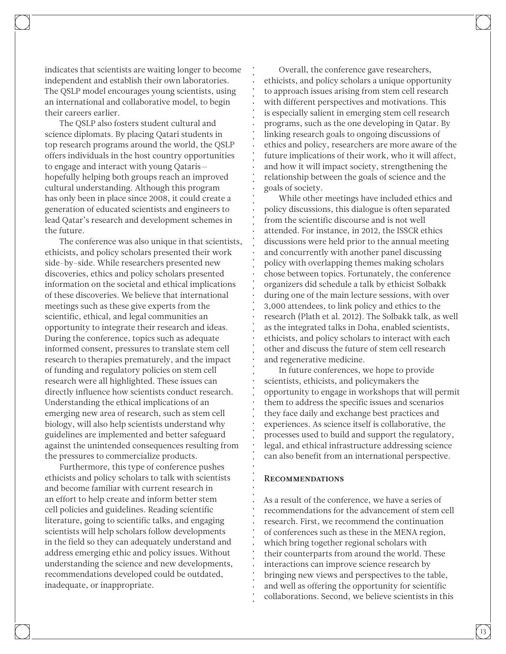indicates that scientists are waiting longer to become independent and establish their own laboratories. The QSLP model encourages young scientists, using an international and collaborative model, to begin their careers earlier.

The QSLP also fosters student cultural and science diplomats. By placing Qatari students in top research programs around the world, the QSLP offers individuals in the host country opportunities to engage and interact with young Qataris hopefully helping both groups reach an improved cultural understanding. Although this program has only been in place since 2008, it could create a generation of educated scientists and engineers to lead Qatar's research and development schemes in the future.

The conference was also unique in that scientists, ethicists, and policy scholars presented their work side-by-side. While researchers presented new discoveries, ethics and policy scholars presented information on the societal and ethical implications of these discoveries. We believe that international meetings such as these give experts from the scientific, ethical, and legal communities an opportunity to integrate their research and ideas. During the conference, topics such as adequate informed consent, pressures to translate stem cell research to therapies prematurely, and the impact of funding and regulatory policies on stem cell research were all highlighted. These issues can directly influence how scientists conduct research. Understanding the ethical implications of an emerging new area of research, such as stem cell biology, will also help scientists understand why guidelines are implemented and better safeguard against the unintended consequences resulting from the pressures to commercialize products.

Furthermore, this type of conference pushes ethicists and policy scholars to talk with scientists and become familiar with current research in an effort to help create and inform better stem cell policies and guidelines. Reading scientific literature, going to scientific talks, and engaging scientists will help scholars follow developments in the field so they can adequately understand and address emerging ethic and policy issues. Without understanding the science and new developments, recommendations developed could be outdated, inadequate, or inappropriate.

Overall, the conference gave researchers, ethicists, and policy scholars a unique opportunity to approach issues arising from stem cell research with different perspectives and motivations. This is especially salient in emerging stem cell research programs, such as the one developing in Qatar. By linking research goals to ongoing discussions of ethics and policy, researchers are more aware of the future implications of their work, who it will affect, and how it will impact society, strengthening the relationship between the goals of science and the goals of society.

While other meetings have included ethics and policy discussions, this dialogue is often separated from the scientific discourse and is not well attended. For instance, in 2012, the ISSCR ethics discussions were held prior to the annual meeting and concurrently with another panel discussing policy with overlapping themes making scholars chose between topics. Fortunately, the conference organizers did schedule a talk by ethicist Solbakk during one of the main lecture sessions, with over 3,000 attendees, to link policy and ethics to the research (Plath et al. 2012). The Solbakk talk, as well as the integrated talks in Doha, enabled scientists, ethicists, and policy scholars to interact with each other and discuss the future of stem cell research and regenerative medicine.

In future conferences, we hope to provide scientists, ethicists, and policymakers the opportunity to engage in workshops that will permit them to address the specific issues and scenarios they face daily and exchange best practices and experiences. As science itself is collaborative, the processes used to build and support the regulatory, legal, and ethical infrastructure addressing science can also benefit from an international perspective.

#### Recommendations

As a result of the conference, we have a series of recommendations for the advancement of stem cell research. First, we recommend the continuation of conferences such as these in the MENA region, which bring together regional scholars with their counterparts from around the world. These interactions can improve science research by bringing new views and perspectives to the table, and well as offering the opportunity for scientific collaborations. Second, we believe scientists in this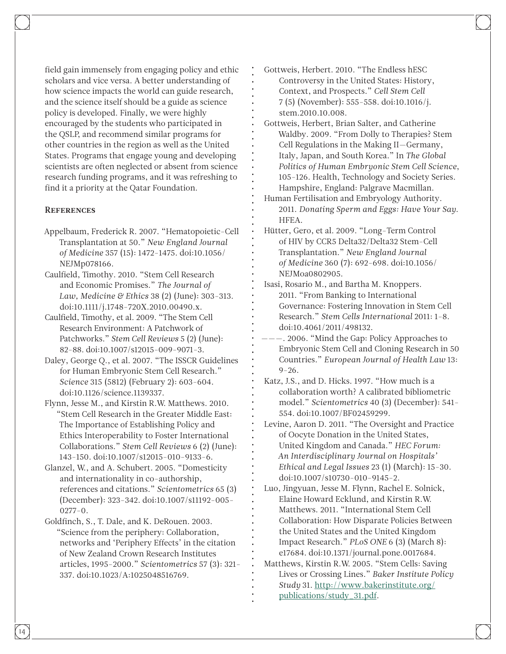field gain immensely from engaging policy and ethic scholars and vice versa. A better understanding of how science impacts the world can guide research, and the science itself should be a guide as science policy is developed. Finally, we were highly encouraged by the students who participated in the QSLP, and recommend similar programs for other countries in the region as well as the United States. Programs that engage young and developing scientists are often neglected or absent from science research funding programs, and it was refreshing to find it a priority at the Qatar Foundation.

#### **REFERENCES**

- Appelbaum, Frederick R. 2007. "Hematopoietic-Cell Transplantation at 50." *New England Journal of Medicine* 357 (15): 1472-1475. doi:10.1056/ NEJMp078166.
- Caulfield, Timothy. 2010. "Stem Cell Research and Economic Promises." *The Journal of Law, Medicine & Ethics* 38 (2) (June): 303-313. doi:10.1111/j.1748-720X.2010.00490.x.
- Caulfield, Timothy, et al. 2009. "The Stem Cell Research Environment: A Patchwork of Patchworks." *Stem Cell Reviews* 5 (2) (June): 82-88. doi:10.1007/s12015-009-9071-3.
- Daley, George Q., et al. 2007. "The ISSCR Guidelines for Human Embryonic Stem Cell Research." *Science* 315 (5812) (February 2): 603-604. doi:10.1126/science.1139337.
- Flynn, Jesse M., and Kirstin R.W. Matthews. 2010. "Stem Cell Research in the Greater Middle East: The Importance of Establishing Policy and Ethics Interoperability to Foster International Collaborations." *Stem Cell Reviews* 6 (2) (June): 143-150. doi:10.1007/s12015-010-9133-6.
- Glanzel, W., and A. Schubert. 2005. "Domesticity and internationality in co-authorship, references and citations." *Scientometrics* 65 (3) (December): 323-342. doi:10.1007/s11192-005-  $0277 - 0.$
- Goldfinch, S., T. Dale, and K. DeRouen. 2003. "Science from the periphery: Collaboration, networks and 'Periphery Effects' in the citation of New Zealand Crown Research Institutes articles, 1995-2000." *Scientometrics* 57 (3): 321- 337. doi:10.1023/A:1025048516769.
- Gottweis, Herbert. 2010. "The Endless hESC Controversy in the United States: History, Context, and Prospects." *Cell Stem Cell*  7 (5) (November): 555-558. doi:10.1016/j. stem.2010.10.008.
- Gottweis, Herbert, Brian Salter, and Catherine Waldby. 2009. "From Dolly to Therapies? Stem Cell Regulations in the Making II—Germany, Italy, Japan, and South Korea." In *The Global Politics of Human Embryonic Stem Cell Science*, 105-126. Health, Technology and Society Series. Hampshire, England: Palgrave Macmillan.
- Human Fertilisation and Embryology Authority. 2011. *Donating Sperm and Eggs: Have Your Say*. HFEA.
- Hütter, Gero, et al. 2009. "Long-Term Control of HIV by CCR5 Delta32/Delta32 Stem-Cell Transplantation." *New England Journal of Medicine* 360 (7): 692-698. doi:10.1056/ NEJMoa0802905.
- Isasi, Rosario M., and Bartha M. Knoppers. 2011. "From Banking to International Governance: Fostering Innovation in Stem Cell Research." *Stem Cells International* 2011: 1-8. doi:10.4061/2011/498132.
- ———. 2006. "Mind the Gap: Policy Approaches to Embryonic Stem Cell and Cloning Research in 50 Countries." *European Journal of Health Law* 13: 9-26.
- Katz, J.S., and D. Hicks. 1997. "How much is a collaboration worth? A calibrated bibliometric model." *Scientometrics* 40 (3) (December): 541- 554. doi:10.1007/BF02459299.
- Levine, Aaron D. 2011. "The Oversight and Practice of Oocyte Donation in the United States, United Kingdom and Canada." *HEC Forum: An Interdisciplinary Journal on Hospitals' Ethical and Legal Issues* 23 (1) (March): 15-30. doi:10.1007/s10730-010-9145-2.
- Luo, Jingyuan, Jesse M. Flynn, Rachel E. Solnick, Elaine Howard Ecklund, and Kirstin R.W. Matthews. 2011. "International Stem Cell Collaboration: How Disparate Policies Between the United States and the United Kingdom Impact Research." *PLoS ONE* 6 (3) (March 8): e17684. doi:10.1371/journal.pone.0017684.
- Matthews, Kirstin R.W. 2005. "Stem Cells: Saving Lives or Crossing Lines." *Baker Institute Policy Study* 31. [http://www.bakerinstitute.org/](http://www.bakerinstitute.org/publications/study_31.pdf) [publications/study\\_31.pdf.](http://www.bakerinstitute.org/publications/study_31.pdf)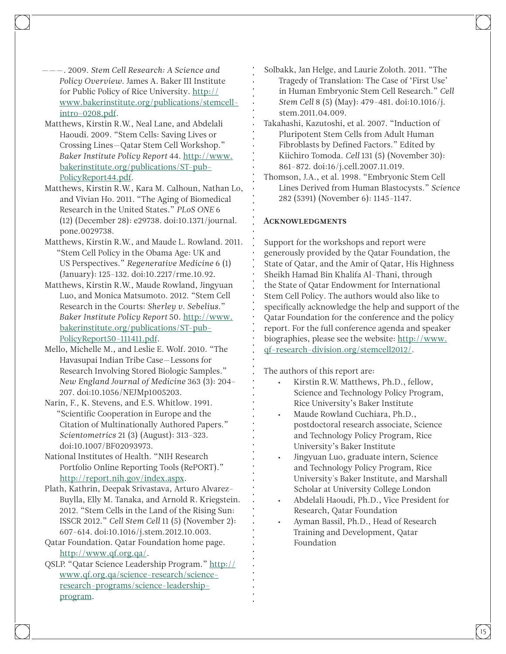- ———. 2009. *Stem Cell Research: A Science and Policy Overview*. James A. Baker III Institute for Public Policy of Rice University. [http://](http://www.bakerinstitute.org/publications/stemcell-intro-0208.pdf) [www.bakerinstitute.org/publications/stemcell](http://www.bakerinstitute.org/publications/stemcell-intro-0208.pdf)[intro-0208.pdf](http://www.bakerinstitute.org/publications/stemcell-intro-0208.pdf).
- Matthews, Kirstin R.W., Neal Lane, and Abdelali Haoudi. 2009. "Stem Cells: Saving Lives or Crossing Lines—Qatar Stem Cell Workshop." *Baker Institute Policy Report* 44. [http://www.](http://www.bakerinstitute.org/publications/ST-pub-PolicyReport44.pdf) [bakerinstitute.org/publications/ST-pub-](http://www.bakerinstitute.org/publications/ST-pub-PolicyReport44.pdf)[PolicyReport44.pdf.](http://www.bakerinstitute.org/publications/ST-pub-PolicyReport44.pdf)
- Matthews, Kirstin R.W., Kara M. Calhoun, Nathan Lo, and Vivian Ho. 2011. "The Aging of Biomedical Research in the United States." *PLoS ONE* 6 (12) (December 28): e29738. doi:10.1371/journal. pone.0029738.
- Matthews, Kirstin R.W., and Maude L. Rowland. 2011. "Stem Cell Policy in the Obama Age: UK and US Perspectives." *Regenerative Medicine* 6 (1) (January): 125-132. doi:10.2217/rme.10.92.
- Matthews, Kirstin R.W., Maude Rowland, Jingyuan Luo, and Monica Matsumoto. 2012. "Stem Cell Research in the Courts: *Sherley v. Sebelius*." *Baker Institute Policy Report* 50. [http://www.](http://www.bakerinstitute.org/publications/ST-pub-PolicyReport50-111411.pdf) [bakerinstitute.org/publications/ST-pub-](http://www.bakerinstitute.org/publications/ST-pub-PolicyReport50-111411.pdf)[PolicyReport50-111411.pdf](http://www.bakerinstitute.org/publications/ST-pub-PolicyReport50-111411.pdf).
- Mello, Michelle M., and Leslie E. Wolf. 2010. "The Havasupai Indian Tribe Case—Lessons for Research Involving Stored Biologic Samples." *New England Journal of Medicine* 363 (3): 204- 207. doi:10.1056/NEJMp1005203.
- Narin, F., K. Stevens, and E.S. Whitlow. 1991. "Scientific Cooperation in Europe and the Citation of Multinationally Authored Papers." *Scientometrics* 21 (3) (August): 313-323. doi:10.1007/BF02093973.
- National Institutes of Health. "NIH Research Portfolio Online Reporting Tools (RePORT)." [http://report.nih.gov/index.aspx.](http://report.nih.gov/index.aspx)
- Plath, Kathrin, Deepak Srivastava, Arturo Alvarez-Buylla, Elly M. Tanaka, and Arnold R. Kriegstein. 2012. "Stem Cells in the Land of the Rising Sun: ISSCR 2012." *Cell Stem Cell* 11 (5) (November 2): 607-614. doi:10.1016/j.stem.2012.10.003.
- Qatar Foundation. Qatar Foundation home page. <http://www.qf.org.qa/>.
- QSLP. "Qatar Science Leadership Program." [http://](http://www.qf.org.qa/science-research/science-research-programs/science-leadership-program) [www.qf.org.qa/science-research/science](http://www.qf.org.qa/science-research/science-research-programs/science-leadership-program)[research-programs/science-leadership](http://www.qf.org.qa/science-research/science-research-programs/science-leadership-program)[program](http://www.qf.org.qa/science-research/science-research-programs/science-leadership-program).
- Solbakk, Jan Helge, and Laurie Zoloth. 2011. "The Tragedy of Translation: The Case of 'First Use' in Human Embryonic Stem Cell Research." *Cell Stem Cell* 8 (5) (May): 479-481. doi:10.1016/j. stem.2011.04.009.
- Takahashi, Kazutoshi, et al. 2007. "Induction of Pluripotent Stem Cells from Adult Human Fibroblasts by Defined Factors." Edited by Kiichiro Tomoda. *Cell* 131 (5) (November 30): 861-872. doi:16/j.cell.2007.11.019.
- Thomson, J.A., et al. 1998. "Embryonic Stem Cell Lines Derived from Human Blastocysts." *Science* 282 (5391) (November 6): 1145-1147.

#### **ACKNOWLEDGMENTS**

Support for the workshops and report were generously provided by the Qatar Foundation, the State of Qatar, and the Amir of Qatar, His Highness Sheikh Hamad Bin Khalifa Al-Thani, through the State of Qatar Endowment for International Stem Cell Policy. The authors would also like to specifically acknowledge the help and support of the Qatar Foundation for the conference and the policy report. For the full conference agenda and speaker biographies, please see the website: [http://www.](http://www.qf-research-division.org/stemcell2012/) [qf-research-division.org/stemcell2012/](http://www.qf-research-division.org/stemcell2012/).

The authors of this report are:

- Kirstin R.W. Matthews, Ph.D., fellow, Science and Technology Policy Program, Rice University's Baker Institute
- Maude Rowland Cuchiara, Ph.D., postdoctoral research associate, Science and Technology Policy Program, Rice University's Baker Institute
- Jingyuan Luo, graduate intern, Science and Technology Policy Program, Rice University's Baker Institute, and Marshall Scholar at University College London
- Abdelali Haoudi, Ph.D., Vice President for Research, Qatar Foundation
- Ayman Bassil, Ph.D., Head of Research Training and Development, Qatar Foundation